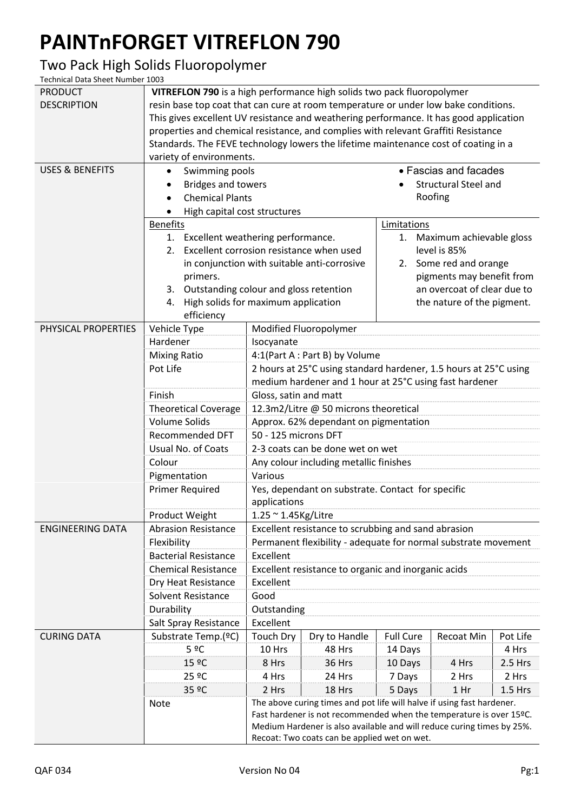## **PAINTnFORGET VITREFLON 790**

## Two Pack High Solids Fluoropolymer

Technical Data Sheet Number 1003

| <b>PRODUCT</b>             | VITREFLON 790 is a high performance high solids two pack fluoropolymer                 |                                                                                                                                                                                                                         |               |                                                                                                                   |            |          |  |
|----------------------------|----------------------------------------------------------------------------------------|-------------------------------------------------------------------------------------------------------------------------------------------------------------------------------------------------------------------------|---------------|-------------------------------------------------------------------------------------------------------------------|------------|----------|--|
| <b>DESCRIPTION</b>         | resin base top coat that can cure at room temperature or under low bake conditions.    |                                                                                                                                                                                                                         |               |                                                                                                                   |            |          |  |
|                            | This gives excellent UV resistance and weathering performance. It has good application |                                                                                                                                                                                                                         |               |                                                                                                                   |            |          |  |
|                            | properties and chemical resistance, and complies with relevant Graffiti Resistance     |                                                                                                                                                                                                                         |               |                                                                                                                   |            |          |  |
|                            | Standards. The FEVE technology lowers the lifetime maintenance cost of coating in a    |                                                                                                                                                                                                                         |               |                                                                                                                   |            |          |  |
|                            | variety of environments.                                                               |                                                                                                                                                                                                                         |               |                                                                                                                   |            |          |  |
| <b>USES &amp; BENEFITS</b> | • Fascias and facades<br>Swimming pools<br>٠                                           |                                                                                                                                                                                                                         |               |                                                                                                                   |            |          |  |
|                            | <b>Bridges and towers</b>                                                              |                                                                                                                                                                                                                         |               | <b>Structural Steel and</b>                                                                                       |            |          |  |
|                            | <b>Chemical Plants</b>                                                                 |                                                                                                                                                                                                                         |               |                                                                                                                   | Roofing    |          |  |
|                            | High capital cost structures                                                           |                                                                                                                                                                                                                         |               |                                                                                                                   |            |          |  |
|                            | <b>Benefits</b>                                                                        |                                                                                                                                                                                                                         |               | Limitations<br>1. Maximum achievable gloss<br>level is 85%<br>2. Some red and orange<br>pigments may benefit from |            |          |  |
|                            | 1. Excellent weathering performance.                                                   |                                                                                                                                                                                                                         |               |                                                                                                                   |            |          |  |
|                            | Excellent corrosion resistance when used<br>2.                                         |                                                                                                                                                                                                                         |               |                                                                                                                   |            |          |  |
|                            | in conjunction with suitable anti-corrosive                                            |                                                                                                                                                                                                                         |               |                                                                                                                   |            |          |  |
|                            | primers.                                                                               |                                                                                                                                                                                                                         |               |                                                                                                                   |            |          |  |
|                            | Outstanding colour and gloss retention<br>3.                                           |                                                                                                                                                                                                                         |               | an overcoat of clear due to                                                                                       |            |          |  |
|                            | High solids for maximum application<br>4.                                              |                                                                                                                                                                                                                         |               | the nature of the pigment.                                                                                        |            |          |  |
|                            |                                                                                        | efficiency                                                                                                                                                                                                              |               |                                                                                                                   |            |          |  |
| PHYSICAL PROPERTIES        | Vehicle Type                                                                           | Modified Fluoropolymer                                                                                                                                                                                                  |               |                                                                                                                   |            |          |  |
|                            | Hardener                                                                               | Isocyanate                                                                                                                                                                                                              |               |                                                                                                                   |            |          |  |
|                            | <b>Mixing Ratio</b>                                                                    | 4:1(Part A : Part B) by Volume                                                                                                                                                                                          |               |                                                                                                                   |            |          |  |
|                            | Pot Life                                                                               | 2 hours at 25°C using standard hardener, 1.5 hours at 25°C using                                                                                                                                                        |               |                                                                                                                   |            |          |  |
|                            |                                                                                        | medium hardener and 1 hour at 25°C using fast hardener                                                                                                                                                                  |               |                                                                                                                   |            |          |  |
|                            | Finish                                                                                 | Gloss, satin and matt                                                                                                                                                                                                   |               |                                                                                                                   |            |          |  |
|                            | <b>Theoretical Coverage</b>                                                            | 12.3m2/Litre @ 50 microns theoretical                                                                                                                                                                                   |               |                                                                                                                   |            |          |  |
|                            | <b>Volume Solids</b>                                                                   | Approx. 62% dependant on pigmentation                                                                                                                                                                                   |               |                                                                                                                   |            |          |  |
|                            | <b>Recommended DFT</b>                                                                 | 50 - 125 microns DFT                                                                                                                                                                                                    |               |                                                                                                                   |            |          |  |
|                            | Usual No. of Coats                                                                     | 2-3 coats can be done wet on wet                                                                                                                                                                                        |               |                                                                                                                   |            |          |  |
|                            | Colour                                                                                 | Any colour including metallic finishes                                                                                                                                                                                  |               |                                                                                                                   |            |          |  |
|                            | Pigmentation                                                                           | Various                                                                                                                                                                                                                 |               |                                                                                                                   |            |          |  |
|                            | <b>Primer Required</b>                                                                 | Yes, dependant on substrate. Contact for specific                                                                                                                                                                       |               |                                                                                                                   |            |          |  |
|                            |                                                                                        | applications                                                                                                                                                                                                            |               |                                                                                                                   |            |          |  |
|                            | Product Weight                                                                         | $1.25 \approx 1.45$ Kg/Litre                                                                                                                                                                                            |               |                                                                                                                   |            |          |  |
| <b>ENGINEERING DATA</b>    | <b>Abrasion Resistance</b>                                                             | Excellent resistance to scrubbing and sand abrasion                                                                                                                                                                     |               |                                                                                                                   |            |          |  |
|                            | Flexibility                                                                            | Permanent flexibility - adequate for normal substrate movement                                                                                                                                                          |               |                                                                                                                   |            |          |  |
|                            | <b>Bacterial Resistance</b>                                                            | Excellent                                                                                                                                                                                                               |               |                                                                                                                   |            |          |  |
|                            | <b>Chemical Resistance</b>                                                             | Excellent resistance to organic and inorganic acids                                                                                                                                                                     |               |                                                                                                                   |            |          |  |
|                            | Dry Heat Resistance                                                                    | Excellent                                                                                                                                                                                                               |               |                                                                                                                   |            |          |  |
|                            | Solvent Resistance                                                                     | Good                                                                                                                                                                                                                    |               |                                                                                                                   |            |          |  |
|                            | Durability                                                                             | Outstanding                                                                                                                                                                                                             |               |                                                                                                                   |            |          |  |
|                            | Salt Spray Resistance                                                                  | Excellent                                                                                                                                                                                                               |               |                                                                                                                   |            |          |  |
| <b>CURING DATA</b>         | Substrate Temp.(ºC)                                                                    | <b>Touch Dry</b>                                                                                                                                                                                                        | Dry to Handle | <b>Full Cure</b>                                                                                                  | Recoat Min | Pot Life |  |
|                            | 5 ºC                                                                                   | 10 Hrs                                                                                                                                                                                                                  | 48 Hrs        | 14 Days                                                                                                           |            | 4 Hrs    |  |
|                            | 15 ºC                                                                                  | 8 Hrs                                                                                                                                                                                                                   | 36 Hrs        | 10 Days                                                                                                           | 4 Hrs      | 2.5 Hrs  |  |
|                            | 25 ºC                                                                                  | 4 Hrs                                                                                                                                                                                                                   | 24 Hrs        | 7 Days                                                                                                            | 2 Hrs      | 2 Hrs    |  |
|                            | 35 ºC                                                                                  | 2 Hrs                                                                                                                                                                                                                   | 18 Hrs        | 5 Days                                                                                                            | 1 Hr       | 1.5 Hrs  |  |
|                            | Note                                                                                   | The above curing times and pot life will halve if using fast hardener.<br>Fast hardener is not recommended when the temperature is over 15°C.<br>Medium Hardener is also available and will reduce curing times by 25%. |               |                                                                                                                   |            |          |  |
|                            |                                                                                        |                                                                                                                                                                                                                         |               |                                                                                                                   |            |          |  |
|                            | Recoat: Two coats can be applied wet on wet.                                           |                                                                                                                                                                                                                         |               |                                                                                                                   |            |          |  |